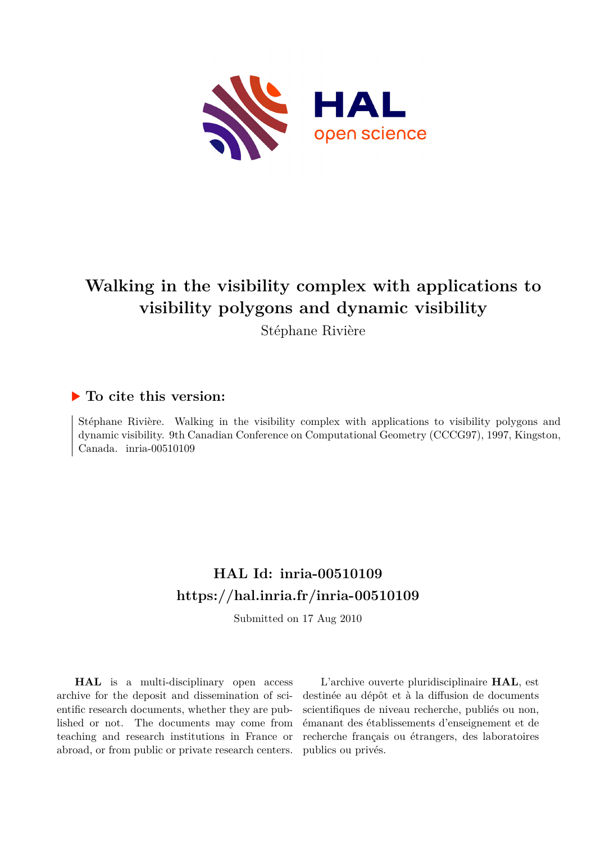

# **Walking in the visibility complex with applications to visibility polygons and dynamic visibility**

Stéphane Rivière

### **To cite this version:**

Stéphane Rivière. Walking in the visibility complex with applications to visibility polygons and dynamic visibility. 9th Canadian Conference on Computational Geometry (CCCG97), 1997, Kingston, Canada. inria-00510109

## **HAL Id: inria-00510109 <https://hal.inria.fr/inria-00510109>**

Submitted on 17 Aug 2010

**HAL** is a multi-disciplinary open access archive for the deposit and dissemination of scientific research documents, whether they are published or not. The documents may come from teaching and research institutions in France or abroad, or from public or private research centers.

L'archive ouverte pluridisciplinaire **HAL**, est destinée au dépôt et à la diffusion de documents scientifiques de niveau recherche, publiés ou non, émanant des établissements d'enseignement et de recherche français ou étrangers, des laboratoires publics ou privés.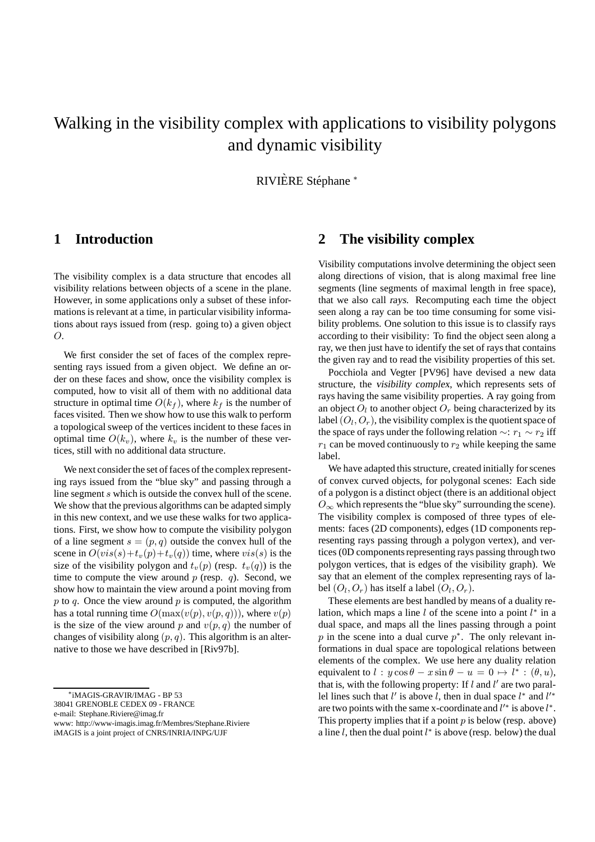## Walking in the visibility complex with applications to visibility polygons and dynamic visibility

RIVIÈRE Stéphane \*

#### **1 Introduction**

The visibility complex is a data structure that encodes all visibility relations between objects of a scene in the plane. However, in some applications only a subset of these informations is relevant at a time, in particular visibility informations about rays issued from (resp. going to) a given object  $\Omega$ .

We first consider the set of faces of the complex representing rays issued from a given object. We define an order on these faces and show, once the visibility complex is computed, how to visit all of them with no additional data structure in optimal time  $O(k_f)$ , where  $k_f$  is the number of faces visited. Then we show how to use this walk to perform a topological sweep of the vertices incident to these faces in optimal time  $O(k_v)$ , where  $k_v$  is the number of these vertices, still with no additional data structure.

We next consider the set of faces of the complex representing rays issued from the "blue sky" and passing through a line segment s which is outside the convex hull of the scene. We show that the previous algorithms can be adapted simply in this new context, and we use these walks for two applications. First, we show how to compute the visibility polygon of a line segment  $s = (p, q)$  outside the convex hull of the scene in  $O(vis(s) + t_v(p) + t_v(q))$  time, where  $vis(s)$  is the size of the visibility polygon and  $t_v(p)$  (resp.  $t_v(q)$ ) is the time to compute the view around  $p$  (resp.  $q$ ). Second, we show how to maintain the view around a point moving from  $p$  to  $q$ . Once the view around  $p$  is computed, the algorithm has a total running time  $O(\max(v(p), v(p, q)))$ , where  $v(p)$ is the size of the view around p and  $v(p, q)$  the number of changes of visibility along  $(p, q)$ . This algorithm is an alternative to those we have described in [Riv97b].

e-mail: Stephane.Riviere@imag.fr

#### **2 The visibility complex**

Visibility computations involve determining the object seen along directions of vision, that is along maximal free line segments (line segments of maximal length in free space), that we also call rays. Recomputing each time the object seen along a ray can be too time consuming for some visibility problems. One solution to this issue is to classify rays according to their visibility: To find the object seen along a ray, we then just have to identify the set of rays that contains the given ray and to read the visibility properties of this set.

Pocchiola and Vegter [PV96] have devised a new data structure, the visibility complex, which represents sets of rays having the same visibility properties. A ray going from an object  $O_l$  to another object  $O_r$  being characterized by its label  $(O_l, O_r)$ , the visibility complex is the quotient space of the space of rays under the following relation  $\sim$ :  $r_1 \sim r_2$  iff  $r_1$  can be moved continuously to  $r_2$  while keeping the same label.

We have adapted this structure, created initially for scenes of convex curved objects, for polygonal scenes: Each side of a polygon is a distinct object (there is an additional object  $O_{\infty}$  which represents the "blue sky" surrounding the scene). The visibility complex is composed of three types of elements: faces (2D components), edges (1D components representing rays passing through a polygon vertex), and vertices (0D components representing rays passing through two polygon vertices, that is edges of the visibility graph). We say that an element of the complex representing rays of label  $(O_l, O_r)$  has itself a label  $(O_l, O_r)$ .

These elements are best handled by means of a duality relation, which maps a line  $l$  of the scene into a point  $l^*$  in a dual space, and maps all the lines passing through a point p in the scene into a dual curve  $p^*$ . The only relevant informations in dual space are topological relations between elements of the complex. We use here any duality relation equivalent to  $l : y \cos \theta - x \sin \theta - u = 0 \mapsto l^* : (\theta, u)$ , that is, with the following property: If  $l$  and  $l'$  are two parallel lines such that l' is above l, then in dual space  $l^*$  and  $l'^*$ are two points with the same x-coordinate and  $l'^*$  is above  $l^*$ . This property implies that if a point  $p$  is below (resp. above) a line  $l$ , then the dual point  $l^*$  is above (resp. below) the dual

<sup>∗</sup> iMAGIS-GRAVIR/IMAG - BP 53

<sup>38041</sup> GRENOBLE CEDEX 09 - FRANCE

www: http://www-imagis.imag.fr/Membres/Stephane.Riviere iMAGIS is a joint project of CNRS/INRIA/INPG/UJF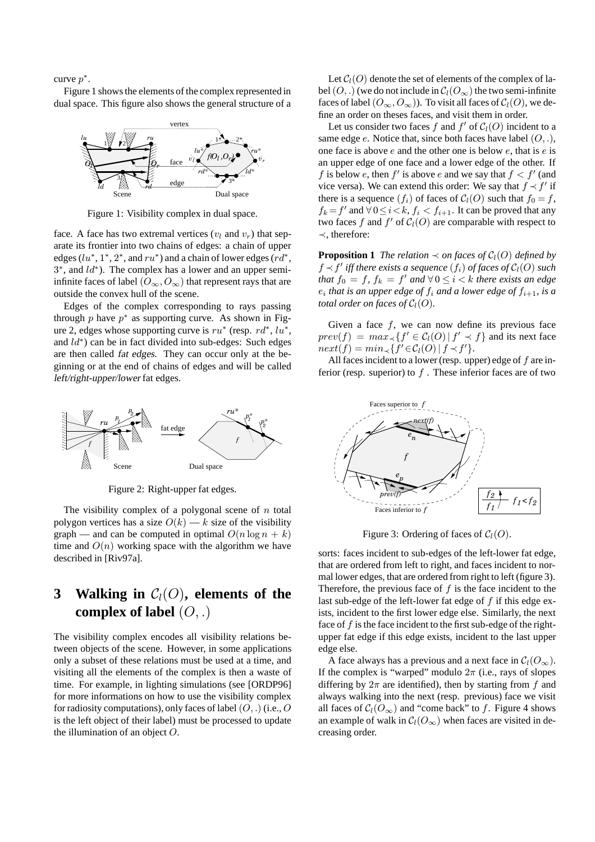curve  $p^*$ .

Figure 1 shows the elements of the complex represented in dual space. This figure also shows the general structure of a



Figure 1: Visibility complex in dual space.

face. A face has two extremal vertices ( $v_l$  and  $v_r$ ) that separate its frontier into two chains of edges: a chain of upper edges ( $lu^*, 1^*, 2^*$ , and  $ru^*$ ) and a chain of lower edges ( $rd^*,$ 3<sup>\*</sup>, and *ld*<sup>\*</sup>). The complex has a lower and an upper semiinfinite faces of label  $(O_{\infty}, O_{\infty})$  that represent rays that are outside the convex hull of the scene.

Edges of the complex corresponding to rays passing through p have  $p^*$  as supporting curve. As shown in Figure 2, edges whose supporting curve is  $ru^*$  (resp.  $rd^*$ ,  $lu^*$ , and  $ld^*$ ) can be in fact divided into sub-edges: Such edges are then called fat edges. They can occur only at the beginning or at the end of chains of edges and will be called left/right-upper/lower fat edges.



Figure 2: Right-upper fat edges.

The visibility complex of a polygonal scene of  $n$  total polygon vertices has a size  $O(k)$  — k size of the visibility graph — and can be computed in optimal  $O(n \log n + k)$ time and  $O(n)$  working space with the algorithm we have described in [Riv97a].

### **3** Walking in  $C_l(O)$ , elements of the **complex of label** (O, .)

The visibility complex encodes all visibility relations between objects of the scene. However, in some applications only a subset of these relations must be used at a time, and visiting all the elements of the complex is then a waste of time. For example, in lighting simulations (see [ORDP96] for more informations on how to use the visibility complex for radiosity computations), only faces of label  $(O,.)$  (i.e.,  $O$ is the left object of their label) must be processed to update the illumination of an object O.

Let  $C_l(O)$  denote the set of elements of the complex of label  $(O,.)$  (we do not include in  $C_l(O_\infty)$  the two semi-infinite faces of label  $(O_{\infty}, O_{\infty})$ ). To visit all faces of  $\mathcal{C}_l(O)$ , we define an order on theses faces, and visit them in order.

Let us consider two faces f and  $f'$  of  $C_l(O)$  incident to a same edge  $e$ . Notice that, since both faces have label  $(O, .)$ , one face is above  $e$  and the other one is below  $e$ , that is  $e$  is an upper edge of one face and a lower edge of the other. If f is below e, then f' is above e and we say that  $f < f'$  (and vice versa). We can extend this order: We say that  $f \prec f'$  if there is a sequence  $(f_i)$  of faces of  $C_l(O)$  such that  $f_0 = f$ ,  $f_k = f'$  and  $\forall 0 \leq i < k$ ,  $f_i < f_{i+1}$ . It can be proved that any two faces f and  $f'$  of  $C_l(O)$  are comparable with respect to ≺, therefore:

**Proposition 1** *The relation*  $\prec$  *on faces of*  $C_l(O)$  *defined by*  $f \prec f'$  *iff there exists a sequence*  $(f_i)$  *of faces of*  $\mathcal{C}_l(O)$  *such that*  $f_0 = f$ ,  $f_k = f'$  *and*  $\forall 0 \le i < k$  *there exists an edge*  $e_i$  that is an upper edge of  $f_i$  and a lower edge of  $f_{i+1}$ , is a *total order on faces of*  $C_l(O)$ *.* 

Given a face  $f$ , we can now define its previous face  $prev(f) = max_{\prec} \{ f' \in C_l(O) | f' \prec f \}$  and its next face  $next(f) = min_{\prec} \{f' \in C_l(O) | f \prec f'\}.$ 

All faces incident to a lower (resp. upper) edge of  $f$  are inferior (resp. superior) to  $f$ . These inferior faces are of two



Figure 3: Ordering of faces of  $C_l(O)$ .

sorts: faces incident to sub-edges of the left-lower fat edge, that are ordered from left to right, and faces incident to normal lower edges, that are ordered from right to left (figure 3). Therefore, the previous face of  $f$  is the face incident to the last sub-edge of the left-lower fat edge of  $f$  if this edge exists, incident to the first lower edge else. Similarly, the next face of  $f$  is the face incident to the first sub-edge of the rightupper fat edge if this edge exists, incident to the last upper edge else.

A face always has a previous and a next face in  $C_l(O_\infty)$ . If the complex is "warped" modulo  $2\pi$  (i.e., rays of slopes differing by  $2\pi$  are identified), then by starting from f and always walking into the next (resp. previous) face we visit all faces of  $C_l(O_\infty)$  and "come back" to f. Figure 4 shows an example of walk in  $C_l(O_\infty)$  when faces are visited in decreasing order.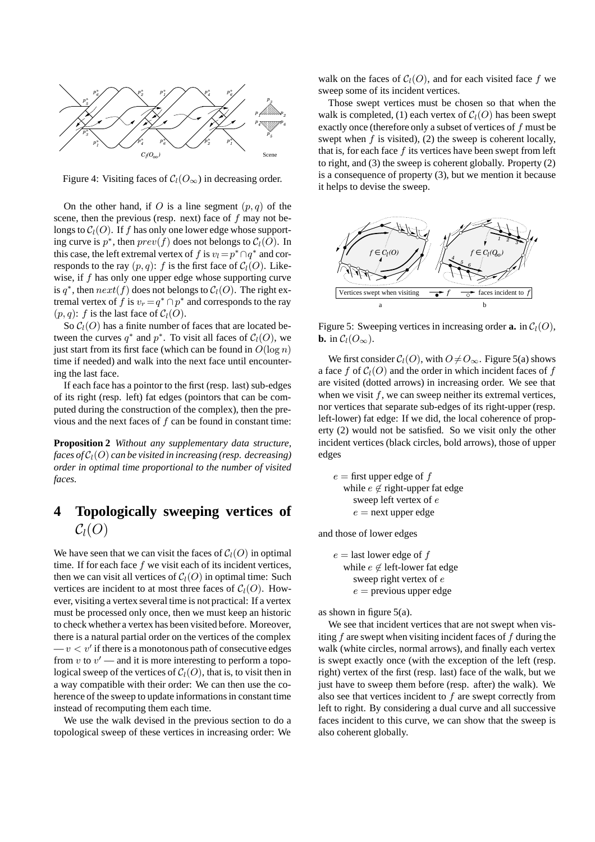

Figure 4: Visiting faces of  $C_l(O_\infty)$  in decreasing order.

On the other hand, if O is a line segment  $(p, q)$  of the scene, then the previous (resp. next) face of f may not belongs to  $C_l(O)$ . If f has only one lower edge whose supporting curve is  $p^*$ , then  $prev(f)$  does not belongs to  $C_l(O)$ . In this case, the left extremal vertex of f is  $v_l = p^* \cap q^*$  and corresponds to the ray  $(p, q)$ : f is the first face of  $C_l(O)$ . Likewise, if  $f$  has only one upper edge whose supporting curve is  $q^*$ , then  $next(f)$  does not belongs to  $C_l(O)$ . The right extremal vertex of f is  $v_r = q^* \cap p^*$  and corresponds to the ray  $(p, q)$ : f is the last face of  $C_l(O)$ .

So  $C_l(O)$  has a finite number of faces that are located between the curves  $q^*$  and  $p^*$ . To visit all faces of  $C_l(O)$ , we just start from its first face (which can be found in  $O(\log n)$ ) time if needed) and walk into the next face until encountering the last face.

If each face has a pointor to the first (resp. last) sub-edges of its right (resp. left) fat edges (pointors that can be computed during the construction of the complex), then the previous and the next faces of  $f$  can be found in constant time:

**Proposition 2** *Without any supplementary data structure, faces of*  $C_l(O)$  *can be visited in increasing (resp. decreasing) order in optimal time proportional to the number of visited faces.*

### **4 Topologically sweeping vertices of**  $C_l(O)$

We have seen that we can visit the faces of  $C_l(O)$  in optimal time. If for each face  $f$  we visit each of its incident vertices, then we can visit all vertices of  $C_l(O)$  in optimal time: Such vertices are incident to at most three faces of  $C_l(O)$ . However, visiting a vertex several time is not practical: If a vertex must be processed only once, then we must keep an historic to check whether a vertex has been visited before. Moreover, there is a natural partial order on the vertices of the complex  $-v < v'$  if there is a monotonous path of consecutive edges from  $v$  to  $v'$  — and it is more interesting to perform a topological sweep of the vertices of  $C_l(O)$ , that is, to visit then in a way compatible with their order: We can then use the coherence of the sweep to update informations in constant time instead of recomputing them each time.

We use the walk devised in the previous section to do a topological sweep of these vertices in increasing order: We

walk on the faces of  $C_l(O)$ , and for each visited face f we sweep some of its incident vertices.

Those swept vertices must be chosen so that when the walk is completed, (1) each vertex of  $C_l(O)$  has been swept exactly once (therefore only a subset of vertices of  $f$  must be swept when  $f$  is visited), (2) the sweep is coherent locally, that is, for each face  $f$  its vertices have been swept from left to right, and (3) the sweep is coherent globally. Property (2) is a consequence of property (3), but we mention it because it helps to devise the sweep.



Figure 5: Sweeping vertices in increasing order **a.** in  $C_l(O)$ , **b.** in  $\mathcal{C}_l(O_\infty)$ .

We first consider  $C_l(O)$ , with  $O \neq O_{\infty}$ . Figure 5(a) shows a face f of  $C_l(O)$  and the order in which incident faces of f are visited (dotted arrows) in increasing order. We see that when we visit  $f$ , we can sweep neither its extremal vertices, nor vertices that separate sub-edges of its right-upper (resp. left-lower) fat edge: If we did, the local coherence of property (2) would not be satisfied. So we visit only the other incident vertices (black circles, bold arrows), those of upper edges

 $e =$  first upper edge of f while  $e \notin \text{right-upper}$  fat edge sweep left vertex of e  $e$  = next upper edge

and those of lower edges

 $e =$  last lower edge of f while  $e \notin \text{left-lower}$  fat edge sweep right vertex of e  $e =$  previous upper edge

as shown in figure  $5(a)$ .

We see that incident vertices that are not swept when visiting  $f$  are swept when visiting incident faces of  $f$  during the walk (white circles, normal arrows), and finally each vertex is swept exactly once (with the exception of the left (resp. right) vertex of the first (resp. last) face of the walk, but we just have to sweep them before (resp. after) the walk). We also see that vertices incident to  $f$  are swept correctly from left to right. By considering a dual curve and all successive faces incident to this curve, we can show that the sweep is also coherent globally.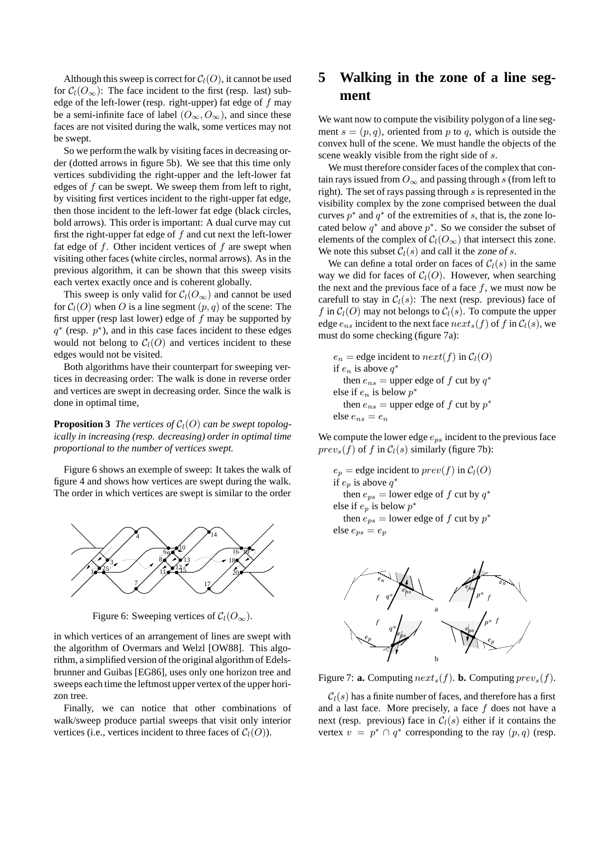Although this sweep is correct for  $C_l(O)$ , it cannot be used for  $C_l(O_\infty)$ : The face incident to the first (resp. last) subedge of the left-lower (resp. right-upper) fat edge of  $f$  may be a semi-infinite face of label  $(O_{\infty}, O_{\infty})$ , and since these faces are not visited during the walk, some vertices may not be swept.

So we perform the walk by visiting faces in decreasing order (dotted arrows in figure 5b). We see that this time only vertices subdividing the right-upper and the left-lower fat edges of f can be swept. We sweep them from left to right, by visiting first vertices incident to the right-upper fat edge, then those incident to the left-lower fat edge (black circles, bold arrows). This order is important: A dual curve may cut first the right-upper fat edge of  $f$  and cut next the left-lower fat edge of  $f$ . Other incident vertices of  $f$  are swept when visiting other faces (white circles, normal arrows). As in the previous algorithm, it can be shown that this sweep visits each vertex exactly once and is coherent globally.

This sweep is only valid for  $C_l(O_\infty)$  and cannot be used for  $C_l(O)$  when O is a line segment  $(p, q)$  of the scene: The first upper (resp last lower) edge of  $f$  may be supported by  $q^*$  (resp.  $p^*$ ), and in this case faces incident to these edges would not belong to  $C_l(O)$  and vertices incident to these edges would not be visited.

Both algorithms have their counterpart for sweeping vertices in decreasing order: The walk is done in reverse order and vertices are swept in decreasing order. Since the walk is done in optimal time,

**Proposition 3** *The vertices of*  $C_l(O)$  *can be swept topologically in increasing (resp. decreasing) order in optimal time proportional to the number of vertices swept.*

Figure 6 shows an exemple of sweep: It takes the walk of figure 4 and shows how vertices are swept during the walk. The order in which vertices are swept is similar to the order



Figure 6: Sweeping vertices of  $C_l(O_\infty)$ .

in which vertices of an arrangement of lines are swept with the algorithm of Overmars and Welzl [OW88]. This algorithm, a simplified version of the original algorithm of Edelsbrunner and Guibas [EG86], uses only one horizon tree and sweeps each time the leftmost upper vertex of the upper horizon tree.

Finally, we can notice that other combinations of walk/sweep produce partial sweeps that visit only interior vertices (i.e., vertices incident to three faces of  $C_l(O)$ ).

### **5 Walking in the zone of a line segment**

We want now to compute the visibility polygon of a line segment  $s = (p, q)$ , oriented from p to q, which is outside the convex hull of the scene. We must handle the objects of the scene weakly visible from the right side of s.

We must therefore consider faces of the complex that contain rays issued from  $O_{\infty}$  and passing through s (from left to right). The set of rays passing through  $s$  is represented in the visibility complex by the zone comprised between the dual curves  $p^*$  and  $q^*$  of the extremities of s, that is, the zone located below  $q^*$  and above  $p^*$ . So we consider the subset of elements of the complex of  $C_l(O_\infty)$  that intersect this zone. We note this subset  $C_l(s)$  and call it the zone of s.

We can define a total order on faces of  $C_l(s)$  in the same way we did for faces of  $C_l(O)$ . However, when searching the next and the previous face of a face  $f$ , we must now be carefull to stay in  $C_l(s)$ : The next (resp. previous) face of f in  $C_l(O)$  may not belongs to  $C_l(s)$ . To compute the upper edge  $e_{ns}$  incident to the next face  $next_s(f)$  of f in  $C_l(s)$ , we must do some checking (figure 7a):

 $e_n$  = edge incident to  $next(f)$  in  $C_l(O)$ if  $e_n$  is above  $q^*$ then  $e_{ns}$  = upper edge of f cut by  $q^*$ else if  $e_n$  is below  $p^*$ then  $e_{ns}$  = upper edge of f cut by  $p^*$ else  $e_{ns} = e_n$ 

We compute the lower edge  $e_{ps}$  incident to the previous face  $prev_s(f)$  of f in  $C_l(s)$  similarly (figure 7b):

$$
e_p = \text{edge incident to } prev(f) \text{ in } C_l(O)
$$
  
if  $e_p$  is above  $q^*$   
then  $e_{ps} = \text{lower edge of } f \text{ cut by } q^*$   
else if  $e_p$  is below  $p^*$   
then  $e_{ps} = \text{lower edge of } f \text{ cut by } p^*$ 

else  $e_{ps} = e_p$ 



Figure 7: **a.** Computing  $next_s(f)$ . **b.** Computing  $prev_s(f)$ .

 $C_l(s)$  has a finite number of faces, and therefore has a first and a last face. More precisely, a face  $f$  does not have a next (resp. previous) face in  $C_l(s)$  either if it contains the vertex  $v = p^* \cap q^*$  corresponding to the ray  $(p, q)$  (resp.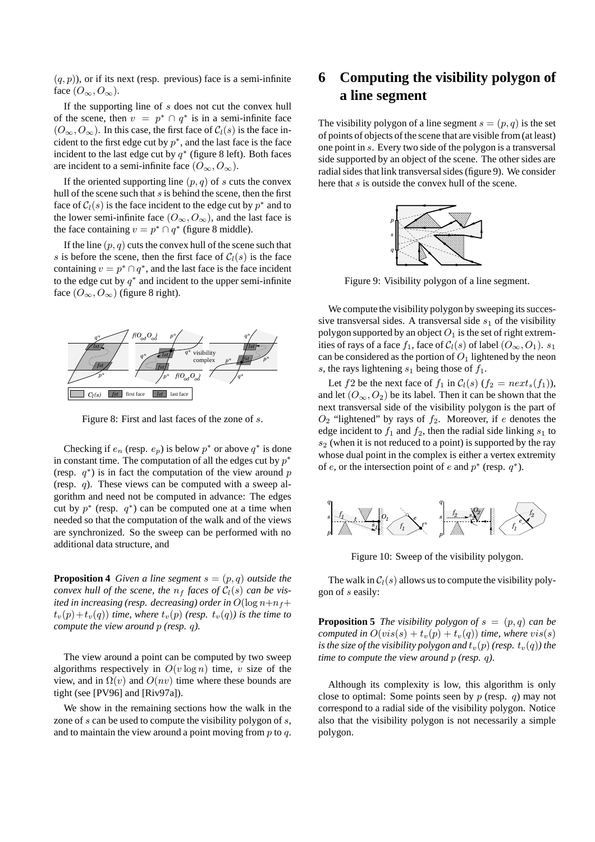$(q, p)$ ), or if its next (resp. previous) face is a semi-infinite face  $(O_{\infty}, O_{\infty})$ .

If the supporting line of s does not cut the convex hull of the scene, then  $v = p^* \cap q^*$  is in a semi-infinite face  $(O_{\infty}, O_{\infty})$ . In this case, the first face of  $C_l(s)$  is the face incident to the first edge cut by  $p^*$ , and the last face is the face incident to the last edge cut by  $q^*$  (figure 8 left). Both faces are incident to a semi-infinite face  $(O_{\infty}, O_{\infty})$ .

If the oriented supporting line  $(p, q)$  of s cuts the convex hull of the scene such that  $s$  is behind the scene, then the first face of  $C_l(s)$  is the face incident to the edge cut by  $p^*$  and to the lower semi-infinite face  $(O_{\infty}, O_{\infty})$ , and the last face is the face containing  $v = p^* \cap q^*$  (figure 8 middle).

If the line  $(p, q)$  cuts the convex hull of the scene such that s is before the scene, then the first face of  $C_l(s)$  is the face containing  $v = p^* \cap q^*$ , and the last face is the face incident to the edge cut by  $q^*$  and incident to the upper semi-infinite face  $(O_{\infty}, O_{\infty})$  (figure 8 right).



Figure 8: First and last faces of the zone of s.

Checking if  $e_n$  (resp.  $e_p$ ) is below  $p^*$  or above  $q^*$  is done in constant time. The computation of all the edges cut by  $p^*$ (resp.  $q^*$ ) is in fact the computation of the view around p (resp.  $q$ ). These views can be computed with a sweep algorithm and need not be computed in advance: The edges cut by  $p^*$  (resp.  $q^*$ ) can be computed one at a time when needed so that the computation of the walk and of the views are synchronized. So the sweep can be performed with no additional data structure, and

**Proposition 4** *Given a line segment*  $s = (p, q)$  *outside the convex hull of the scene, the*  $n_f$  *faces of*  $C_l(s)$  *can be visited in increasing (resp. decreasing) order in*  $O(\log n + n_f +$  $t_v(p)+t_v(q)$ ) *time, where*  $t_v(p)$  (resp.  $t_v(q)$ ) is the time to *compute the view around* p *(resp.* q*).*

The view around a point can be computed by two sweep algorithms respectively in  $O(v \log n)$  time, v size of the view, and in  $\Omega(v)$  and  $O(nv)$  time where these bounds are tight (see [PV96] and [Riv97a]).

We show in the remaining sections how the walk in the zone of  $s$  can be used to compute the visibility polygon of  $s$ , and to maintain the view around a point moving from  $p$  to  $q$ .

### **6 Computing the visibility polygon of a line segment**

The visibility polygon of a line segment  $s = (p, q)$  is the set of points of objects of the scene that are visible from (at least) one point in s. Every two side of the polygon is a transversal side supported by an object of the scene. The other sides are radial sides that link transversal sides (figure 9). We consider here that s is outside the convex hull of the scene.



Figure 9: Visibility polygon of a line segment.

We compute the visibility polygon by sweeping its successive transversal sides. A transversal side  $s_1$  of the visibility polygon supported by an object  $O_1$  is the set of right extremities of rays of a face  $f_1$ , face of  $C_l(s)$  of label  $(O_\infty, O_1)$ .  $s_1$ can be considered as the portion of  $O_1$  lightened by the neon s, the rays lightening  $s_1$  being those of  $f_1$ .

Let f2 be the next face of  $f_1$  in  $C_l(s)$   $(f_2 = next_s(f_1)),$ and let  $(O_{\infty}, O_2)$  be its label. Then it can be shown that the next transversal side of the visibility polygon is the part of  $O_2$  "lightened" by rays of  $f_2$ . Moreover, if e denotes the edge incident to  $f_1$  and  $f_2$ , then the radial side linking  $s_1$  to  $s_2$  (when it is not reduced to a point) is supported by the ray whose dual point in the complex is either a vertex extremity of e, or the intersection point of e and  $p^*$  (resp.  $q^*$ ).



Figure 10: Sweep of the visibility polygon.

The walk in  $C_l(s)$  allows us to compute the visibility polygon of s easily:

**Proposition 5** *The visibility polygon of*  $s = (p, q)$  *can be computed in*  $O(vis(s) + t_v(p) + t_v(q))$  *time, where vis(s) is the size of the visibility polygon and*  $t_v(p)$  (resp.  $t_v(q)$ ) the *time to compute the view around* p *(resp.* q*).*

Although its complexity is low, this algorithm is only close to optimal: Some points seen by  $p$  (resp.  $q$ ) may not correspond to a radial side of the visibility polygon. Notice also that the visibility polygon is not necessarily a simple polygon.